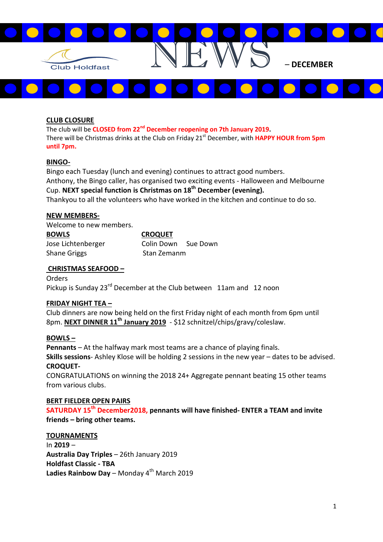

# CLUB CLOSURE

The club will be CLOSED from 22<sup>nd</sup> December reopening on 7th January 2019. There will be Christmas drinks at the Club on Friday 21<sup>st</sup> December, with **HAPPY HOUR from 5pm** until 7pm.

### BINGO-

Bingo each Tuesday (lunch and evening) continues to attract good numbers. Anthony, the Bingo caller, has organised two exciting events - Halloween and Melbourne Cup. NEXT special function is Christmas on 18<sup>th</sup> December (evening). Thankyou to all the volunteers who have worked in the kitchen and continue to do so.

#### NEW MEMBERS-

Welcome to new members.

| <b>BOWLS</b>        | <b>CROQUET</b>      |  |
|---------------------|---------------------|--|
| Jose Lichtenberger  | Colin Down Sue Down |  |
| <b>Shane Griggs</b> | Stan Zemanm         |  |

## CHRISTMAS SEAFOOD –

Orders Pickup is Sunday 23<sup>rd</sup> December at the Club between 11am and 12 noon

#### FRIDAY NIGHT TEA –

Club dinners are now being held on the first Friday night of each month from 6pm until 8pm. NEXT DINNER 11<sup>th</sup> January 2019 - \$12 schnitzel/chips/gravy/coleslaw.

## BOWLS –

Pennants – At the halfway mark most teams are a chance of playing finals. Skills sessions- Ashley Klose will be holding 2 sessions in the new year – dates to be advised. CROQUET-

CONGRATULATIONS on winning the 2018 24+ Aggregate pennant beating 15 other teams from various clubs.

### BERT FIELDER OPEN PAIRS

SATURDAY 15<sup>th</sup> December2018, pennants will have finished- ENTER a TEAM and invite friends – bring other teams.

#### TOURNAMENTS

In 2019 – Australia Day Triples – 26th January 2019 Holdfast Classic - TBA Ladies Rainbow Day – Monday  $4<sup>th</sup>$  March 2019